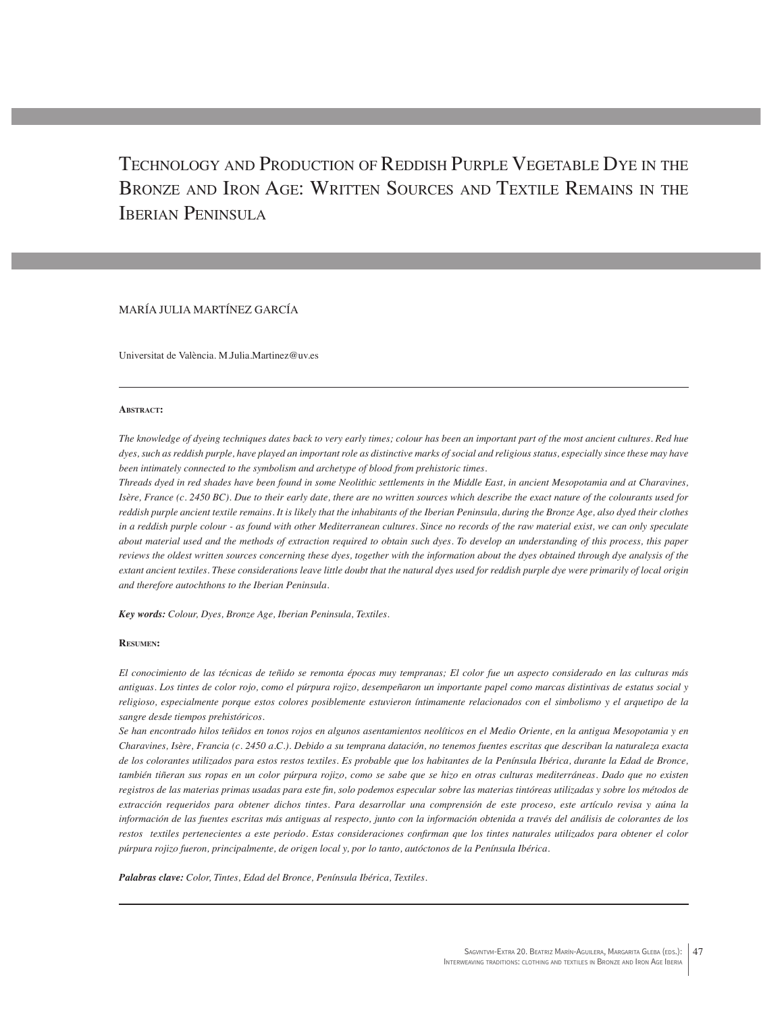Technology and Production of Reddish Purple Vegetable Dye in the Bronze and Iron Age: Written Sources and Textile Remains in the IBERIAN PENINSULA

# MARÍA JULIA MARTÍNEZ GARCÍA

Universitat de València. M.Julia.Martinez@uv.es

#### **Abstract:**

*The knowledge of dyeing techniques dates back to very early times; colour has been an important part of the most ancient cultures. Red hue dyes, such as reddish purple, have played an important role as distinctive marks of social and religious status, especially since these may have been intimately connected to the symbolism and archetype of blood from prehistoric times.*

*Threads dyed in red shades have been found in some Neolithic settlements in the Middle East, in ancient Mesopotamia and at Charavines, Isère, France (c. 2450 BC). Due to their early date, there are no written sources which describe the exact nature of the colourants used for reddish purple ancient textile remains. It is likely that the inhabitants of the Iberian Peninsula, during the Bronze Age, also dyed their clothes in a reddish purple colour - as found with other Mediterranean cultures. Since no records of the raw material exist, we can only speculate about material used and the methods of extraction required to obtain such dyes. To develop an understanding of this process, this paper reviews the oldest written sources concerning these dyes, together with the information about the dyes obtained through dye analysis of the extant ancient textiles. These considerations leave little doubt that the natural dyes used for reddish purple dye were primarily of local origin and therefore autochthons to the Iberian Peninsula.* 

*Key words: Colour, Dyes, Bronze Age, Iberian Peninsula, Textiles.*

#### **Resumen:**

*El conocimiento de las técnicas de teñido se remonta épocas muy tempranas; El color fue un aspecto considerado en las culturas más antiguas. Los tintes de color rojo, como el púrpura rojizo, desempeñaron un importante papel como marcas distintivas de estatus social y religioso, especialmente porque estos colores posiblemente estuvieron íntimamente relacionados con el simbolismo y el arquetipo de la sangre desde tiempos prehistóricos.*

*Se han encontrado hilos teñidos en tonos rojos en algunos asentamientos neolíticos en el Medio Oriente, en la antigua Mesopotamia y en Charavines, Isère, Francia (c. 2450 a.C.). Debido a su temprana datación, no tenemos fuentes escritas que describan la naturaleza exacta de los colorantes utilizados para estos restos textiles. Es probable que los habitantes de la Península Ibérica, durante la Edad de Bronce, también tiñeran sus ropas en un color púrpura rojizo, como se sabe que se hizo en otras culturas mediterráneas. Dado que no existen registros de las materias primas usadas para este fin, solo podemos especular sobre las materias tintóreas utilizadas y sobre los métodos de extracción requeridos para obtener dichos tintes. Para desarrollar una comprensión de este proceso, este artículo revisa y aúna la información de las fuentes escritas más antiguas al respecto, junto con la información obtenida a través del análisis de colorantes de los restos textiles pertenecientes a este periodo. Estas consideraciones confirman que los tintes naturales utilizados para obtener el color púrpura rojizo fueron, principalmente, de origen local y, por lo tanto, autóctonos de la Península Ibérica.*

*Palabras clave: Color, Tintes, Edad del Bronce, Península Ibérica, Textiles.*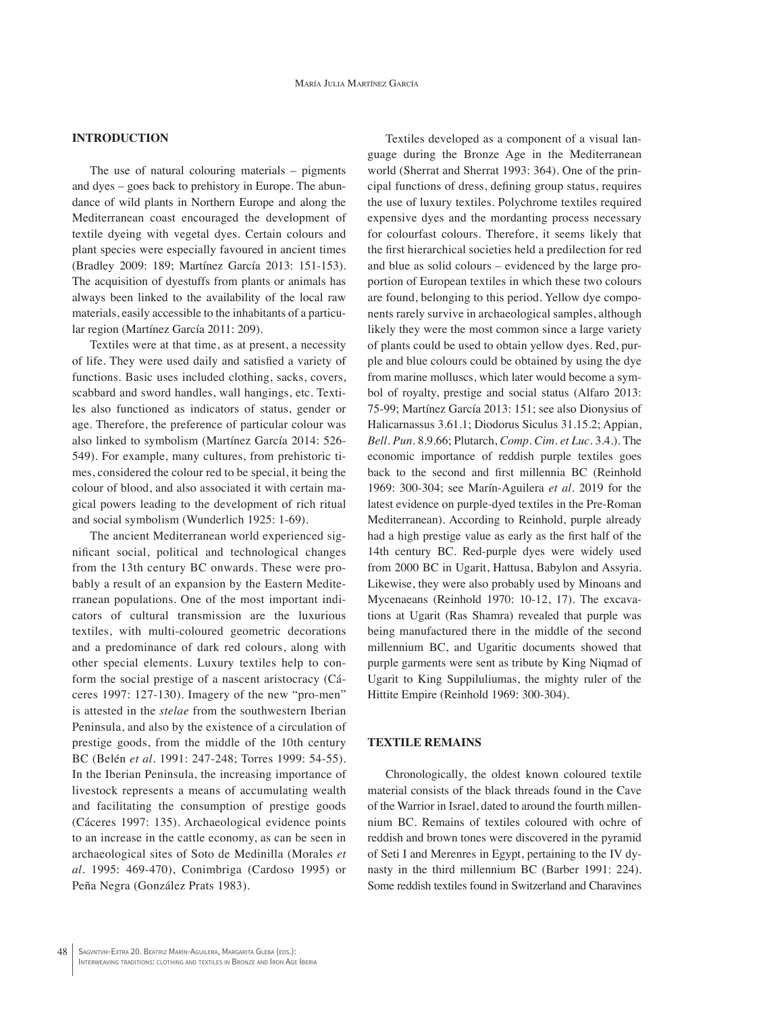### **INTRODUCTION**

The use of natural colouring materials – pigments and dyes – goes back to prehistory in Europe. The abundance of wild plants in Northern Europe and along the Mediterranean coast encouraged the development of textile dyeing with vegetal dyes. Certain colours and plant species were especially favoured in ancient times (Bradley 2009: 189; Martínez García 2013: 151-153). The acquisition of dyestuffs from plants or animals has always been linked to the availability of the local raw materials, easily accessible to the inhabitants of a particular region (Martínez García 2011: 209).

Textiles were at that time, as at present, a necessity of life. They were used daily and satisfied a variety of functions. Basic uses included clothing, sacks, covers, scabbard and sword handles, wall hangings, etc. Textiles also functioned as indicators of status, gender or age. Therefore, the preference of particular colour was also linked to symbolism (Martínez García 2014: 526- 549). For example, many cultures, from prehistoric times, considered the colour red to be special, it being the colour of blood, and also associated it with certain magical powers leading to the development of rich ritual and social symbolism (Wunderlich 1925: 1-69).

The ancient Mediterranean world experienced significant social, political and technological changes from the 13th century BC onwards. These were probably a result of an expansion by the Eastern Mediterranean populations. One of the most important indicators of cultural transmission are the luxurious textiles, with multi-coloured geometric decorations and a predominance of dark red colours, along with other special elements. Luxury textiles help to conform the social prestige of a nascent aristocracy (Cáceres 1997: 127-130). Imagery of the new "pro-men" is attested in the *stelae* from the southwestern Iberian Peninsula, and also by the existence of a circulation of prestige goods, from the middle of the 10th century BC (Belén *et al*. 1991: 247-248; Torres 1999: 54-55). In the Iberian Peninsula, the increasing importance of livestock represents a means of accumulating wealth and facilitating the consumption of prestige goods (Cáceres 1997: 135). Archaeological evidence points to an increase in the cattle economy, as can be seen in archaeological sites of Soto de Medinilla (Morales *et al*. 1995: 469-470), Conimbriga (Cardoso 1995) or Peña Negra (González Prats 1983).

Textiles developed as a component of a visual language during the Bronze Age in the Mediterranean world (Sherrat and Sherrat 1993: 364). One of the principal functions of dress, defining group status, requires the use of luxury textiles. Polychrome textiles required expensive dyes and the mordanting process necessary for colourfast colours. Therefore, it seems likely that the first hierarchical societies held a predilection for red and blue as solid colours – evidenced by the large proportion of European textiles in which these two colours are found, belonging to this period. Yellow dye components rarely survive in archaeological samples, although likely they were the most common since a large variety of plants could be used to obtain yellow dyes. Red, purple and blue colours could be obtained by using the dye from marine molluscs, which later would become a symbol of royalty, prestige and social status (Alfaro 2013: 75-99; Martínez García 2013: 151; see also Dionysius of Halicarnassus 3.61.1; Diodorus Siculus 31.15.2; Appian, *Bell. Pun*. 8.9.66; Plutarch, *Comp. Cim. et Luc*. 3.4.). The economic importance of reddish purple textiles goes back to the second and first millennia BC (Reinhold 1969: 300-304; see Marín-Aguilera *et al*. 2019 for the latest evidence on purple-dyed textiles in the Pre-Roman Mediterranean). According to Reinhold, purple already had a high prestige value as early as the first half of the 14th century BC. Red-purple dyes were widely used from 2000 BC in Ugarit, Hattusa, Babylon and Assyria. Likewise, they were also probably used by Minoans and Mycenaeans (Reinhold 1970: 10-12, 17). The excavations at Ugarit (Ras Shamra) revealed that purple was being manufactured there in the middle of the second millennium BC, and Ugaritic documents showed that purple garments were sent as tribute by King Niqmad of Ugarit to King Suppiluliumas, the mighty ruler of the Hittite Empire (Reinhold 1969: 300-304).

### **TEXTILE REMAINS**

Chronologically, the oldest known coloured textile material consists of the black threads found in the Cave of the Warrior in Israel, dated to around the fourth millennium BC. Remains of textiles coloured with ochre of reddish and brown tones were discovered in the pyramid of Seti I and Merenres in Egypt, pertaining to the IV dynasty in the third millennium BC (Barber 1991: 224). Some reddish textiles found in Switzerland and Charavines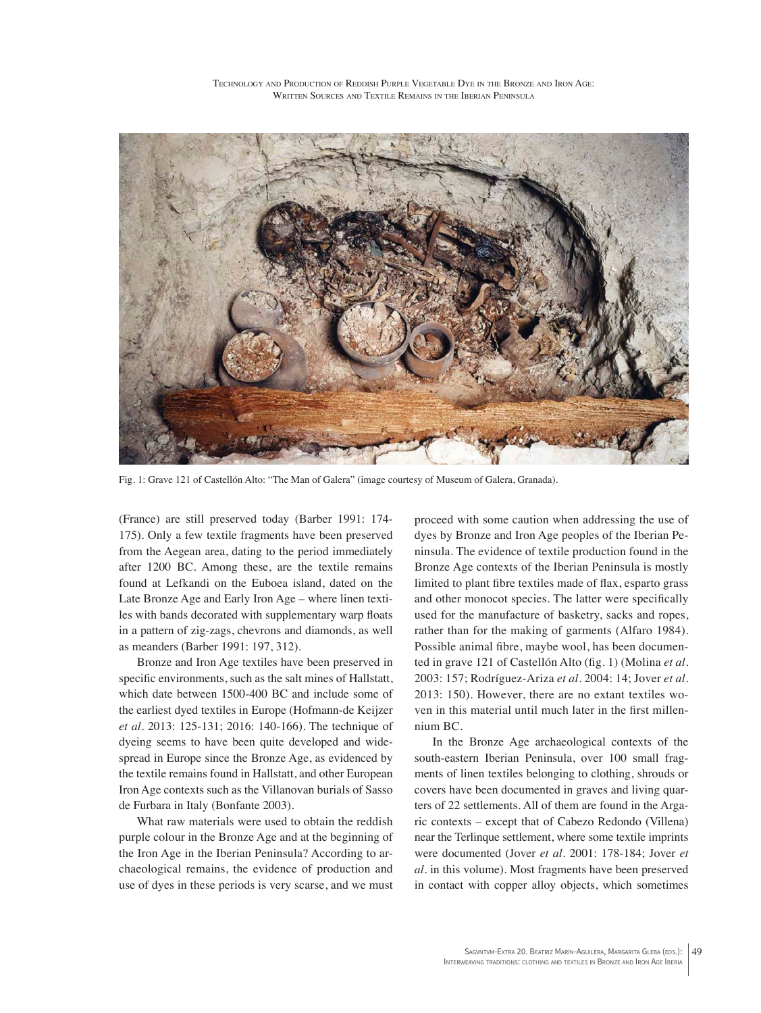Technology and Production of Reddish Purple Vegetable Dye in the Bronze and Iron Age: WRITTEN SOURCES AND TEXTILE REMAINS IN THE IBERIAN PENINSULA



Fig. 1: Grave 121 of Castellón Alto: "The Man of Galera" (image courtesy of Museum of Galera, Granada).

(France) are still preserved today (Barber 1991: 174- 175). Only a few textile fragments have been preserved from the Aegean area, dating to the period immediately after 1200 BC. Among these, are the textile remains found at Lefkandi on the Euboea island, dated on the Late Bronze Age and Early Iron Age – where linen textiles with bands decorated with supplementary warp floats in a pattern of zig-zags, chevrons and diamonds, as well as meanders (Barber 1991: 197, 312).

Bronze and Iron Age textiles have been preserved in specific environments, such as the salt mines of Hallstatt, which date between 1500-400 BC and include some of the earliest dyed textiles in Europe (Hofmann-de Keijzer *et al*. 2013: 125-131; 2016: 140-166). The technique of dyeing seems to have been quite developed and widespread in Europe since the Bronze Age, as evidenced by the textile remains found in Hallstatt, and other European Iron Age contexts such as the Villanovan burials of Sasso de Furbara in Italy (Bonfante 2003).

What raw materials were used to obtain the reddish purple colour in the Bronze Age and at the beginning of the Iron Age in the Iberian Peninsula? According to archaeological remains, the evidence of production and use of dyes in these periods is very scarse, and we must

proceed with some caution when addressing the use of dyes by Bronze and Iron Age peoples of the Iberian Peninsula. The evidence of textile production found in the Bronze Age contexts of the Iberian Peninsula is mostly limited to plant fibre textiles made of flax, esparto grass and other monocot species. The latter were specifically used for the manufacture of basketry, sacks and ropes, rather than for the making of garments (Alfaro 1984). Possible animal fibre, maybe wool, has been documented in grave 121 of Castellón Alto (fig. 1) (Molina *et al*. 2003: 157; Rodríguez-Ariza *et al.* 2004: 14; Jover *et al*. 2013: 150). However, there are no extant textiles woven in this material until much later in the first millennium BC.

In the Bronze Age archaeological contexts of the south-eastern Iberian Peninsula, over 100 small fragments of linen textiles belonging to clothing, shrouds or covers have been documented in graves and living quarters of 22 settlements. All of them are found in the Argaric contexts – except that of Cabezo Redondo (Villena) near the Terlinque settlement, where some textile imprints were documented (Jover *et al*. 2001: 178-184; Jover *et al*. in this volume). Most fragments have been preserved in contact with copper alloy objects, which sometimes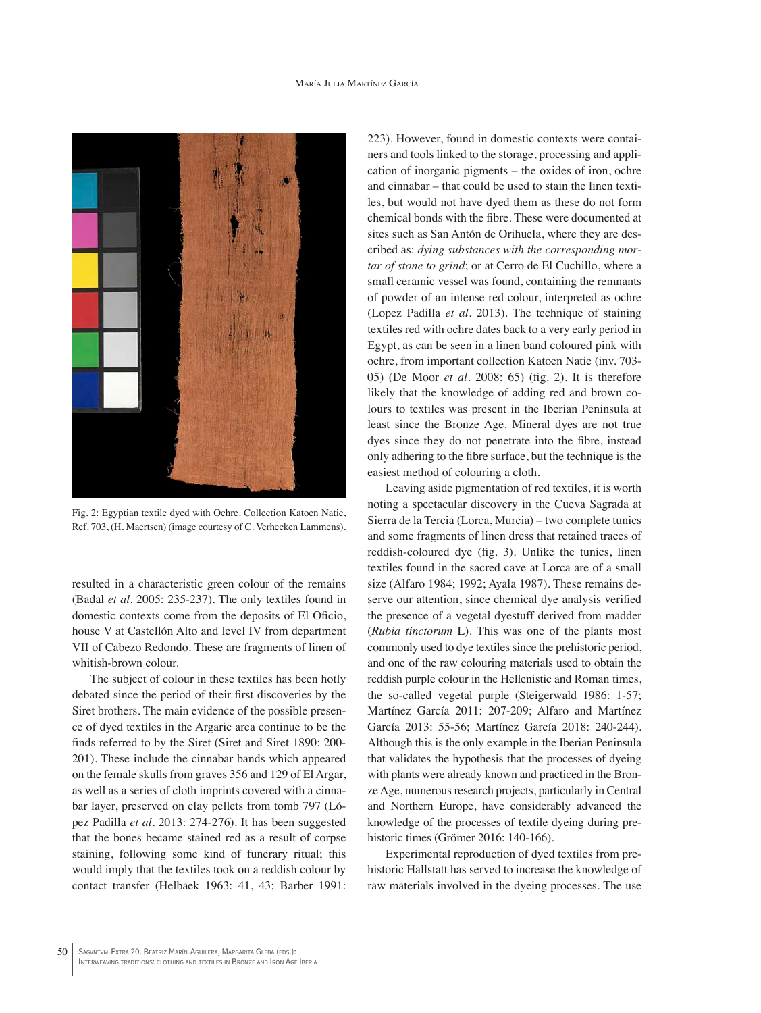#### María Julia Martínez García



Fig. 2: Egyptian textile dyed with Ochre. Collection Katoen Natie, Ref. 703, (H. Maertsen) (image courtesy of C. Verhecken Lammens).

resulted in a characteristic green colour of the remains (Badal *et al*. 2005: 235-237). The only textiles found in domestic contexts come from the deposits of El Oficio, house V at Castellón Alto and level IV from department VII of Cabezo Redondo. These are fragments of linen of whitish-brown colour.

The subject of colour in these textiles has been hotly debated since the period of their first discoveries by the Siret brothers. The main evidence of the possible presence of dyed textiles in the Argaric area continue to be the finds referred to by the Siret (Siret and Siret 1890: 200- 201). These include the cinnabar bands which appeared on the female skulls from graves 356 and 129 of El Argar, as well as a series of cloth imprints covered with a cinnabar layer, preserved on clay pellets from tomb 797 (López Padilla *et al*. 2013: 274-276). It has been suggested that the bones became stained red as a result of corpse staining, following some kind of funerary ritual; this would imply that the textiles took on a reddish colour by contact transfer (Helbaek 1963: 41, 43; Barber 1991: 223). However, found in domestic contexts were containers and tools linked to the storage, processing and application of inorganic pigments – the oxides of iron, ochre and cinnabar – that could be used to stain the linen textiles, but would not have dyed them as these do not form chemical bonds with the fibre. These were documented at sites such as San Antón de Orihuela, where they are described as: *dying substances with the corresponding mortar of stone to grind*; or at Cerro de El Cuchillo, where a small ceramic vessel was found, containing the remnants of powder of an intense red colour, interpreted as ochre (Lopez Padilla *et al*. 2013). The technique of staining textiles red with ochre dates back to a very early period in Egypt, as can be seen in a linen band coloured pink with ochre, from important collection Katoen Natie (inv. 703- 05) (De Moor *et al*. 2008: 65) (fig. 2). It is therefore likely that the knowledge of adding red and brown colours to textiles was present in the Iberian Peninsula at least since the Bronze Age. Mineral dyes are not true dyes since they do not penetrate into the fibre, instead only adhering to the fibre surface, but the technique is the easiest method of colouring a cloth.

Leaving aside pigmentation of red textiles, it is worth noting a spectacular discovery in the Cueva Sagrada at Sierra de la Tercia (Lorca, Murcia) – two complete tunics and some fragments of linen dress that retained traces of reddish-coloured dye (fig. 3). Unlike the tunics, linen textiles found in the sacred cave at Lorca are of a small size (Alfaro 1984; 1992; Ayala 1987). These remains deserve our attention, since chemical dye analysis verified the presence of a vegetal dyestuff derived from madder (*Rubia tinctorum* L). This was one of the plants most commonly used to dye textiles since the prehistoric period, and one of the raw colouring materials used to obtain the reddish purple colour in the Hellenistic and Roman times, the so-called vegetal purple (Steigerwald 1986: 1-57; Martínez García 2011: 207-209; Alfaro and Martínez García 2013: 55-56; Martínez García 2018: 240-244). Although this is the only example in the Iberian Peninsula that validates the hypothesis that the processes of dyeing with plants were already known and practiced in the Bronze Age, numerous research projects, particularly in Central and Northern Europe, have considerably advanced the knowledge of the processes of textile dyeing during prehistoric times (Grömer 2016: 140-166).

Experimental reproduction of dyed textiles from prehistoric Hallstatt has served to increase the knowledge of raw materials involved in the dyeing processes. The use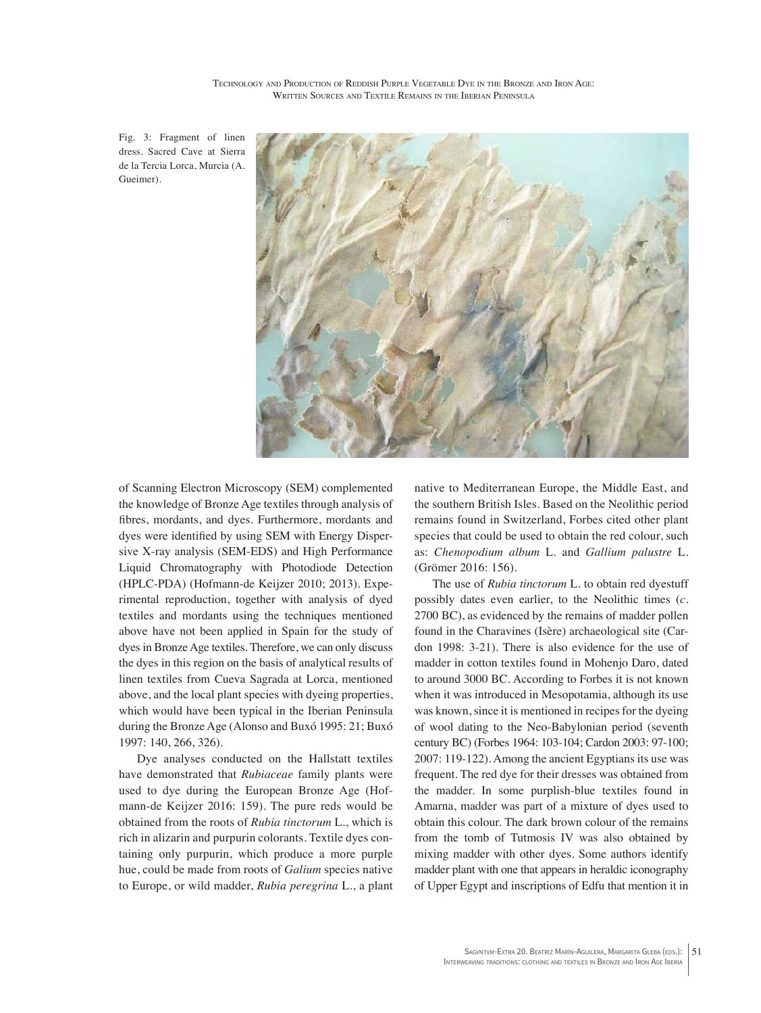Fig. 3: Fragment of linen dress. Sacred Cave at Sierra de la Tercia Lorca, Murcia (A. Gueimer).



of Scanning Electron Microscopy (SEM) complemented the knowledge of Bronze Age textiles through analysis of fibres, mordants, and dyes. Furthermore, mordants and dyes were identified by using SEM with Energy Dispersive X-ray analysis (SEM-EDS) and High Performance Liquid Chromatography with Photodiode Detection (HPLC-PDA) (Hofmann-de Keijzer 2010; 2013). Experimental reproduction, together with analysis of dyed textiles and mordants using the techniques mentioned above have not been applied in Spain for the study of dyes in Bronze Age textiles. Therefore, we can only discuss the dyes in this region on the basis of analytical results of linen textiles from Cueva Sagrada at Lorca, mentioned above, and the local plant species with dyeing properties, which would have been typical in the Iberian Peninsula during the Bronze Age (Alonso and Buxó 1995: 21; Buxó 1997: 140, 266, 326).

Dye analyses conducted on the Hallstatt textiles have demonstrated that *Rubiaceae* family plants were used to dye during the European Bronze Age (Hofmann-de Keijzer 2016: 159). The pure reds would be obtained from the roots of *Rubia tinctorum* L., which is rich in alizarin and purpurin colorants. Textile dyes containing only purpurin, which produce a more purple hue, could be made from roots of *Galium* species native to Europe, or wild madder, *Rubia peregrina* L., a plant

native to Mediterranean Europe, the Middle East, and the southern British Isles. Based on the Neolithic period remains found in Switzerland, Forbes cited other plant species that could be used to obtain the red colour, such as: *Chenopodium album* L. and *Gallium palustre* L. (Grömer 2016: 156).

The use of *Rubia tinctorum* L. to obtain red dyestuff possibly dates even earlier, to the Neolithic times (*c*. 2700 BC), as evidenced by the remains of madder pollen found in the Charavines (Isère) archaeological site (Cardon 1998: 3-21). There is also evidence for the use of madder in cotton textiles found in Mohenjo Daro, dated to around 3000 BC. According to Forbes it is not known when it was introduced in Mesopotamia, although its use was known, since it is mentioned in recipes for the dyeing of wool dating to the Neo-Babylonian period (seventh century BC) (Forbes 1964: 103-104; Cardon 2003: 97-100; 2007: 119-122). Among the ancient Egyptians its use was frequent. The red dye for their dresses was obtained from the madder. In some purplish-blue textiles found in Amarna, madder was part of a mixture of dyes used to obtain this colour. The dark brown colour of the remains from the tomb of Tutmosis IV was also obtained by mixing madder with other dyes. Some authors identify madder plant with one that appears in heraldic iconography of Upper Egypt and inscriptions of Edfu that mention it in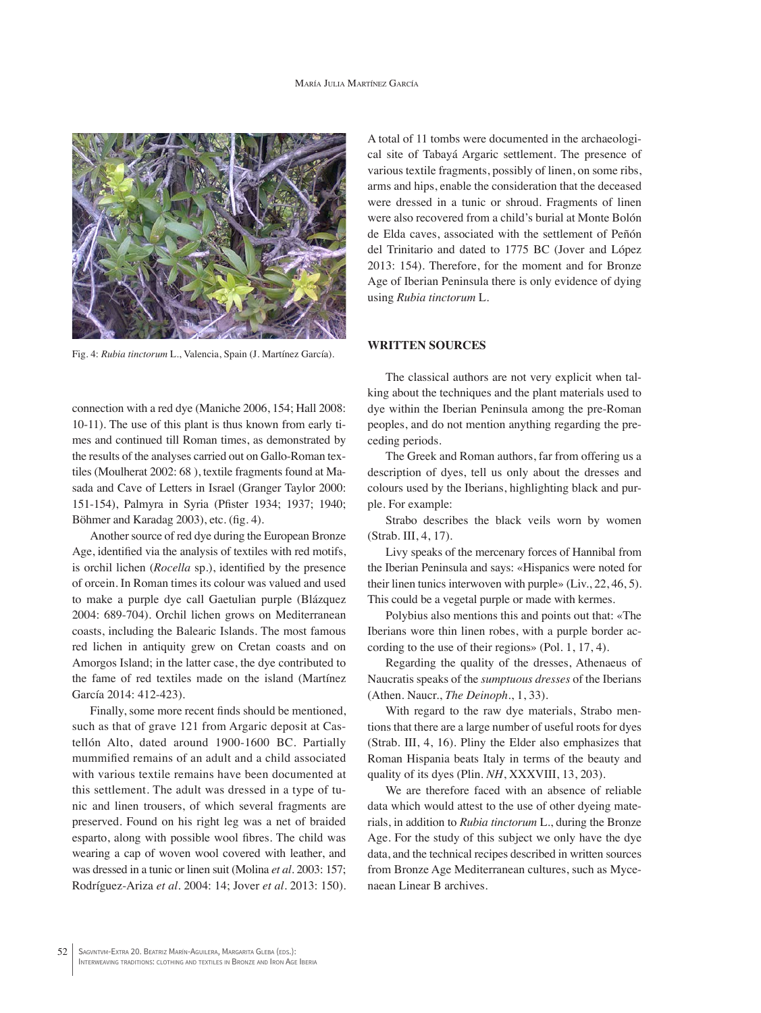

Fig. 4: *Rubia tinctorum* L., Valencia, Spain (J. Martínez García).

connection with a red dye (Maniche 2006, 154; Hall 2008: 10-11). The use of this plant is thus known from early times and continued till Roman times, as demonstrated by the results of the analyses carried out on Gallo-Roman textiles (Moulherat 2002: 68 ), textile fragments found at Masada and Cave of Letters in Israel (Granger Taylor 2000: 151-154), Palmyra in Syria (Pfister 1934; 1937; 1940; Böhmer and Karadag 2003), etc. (fig. 4).

Another source of red dye during the European Bronze Age, identified via the analysis of textiles with red motifs, is orchil lichen (*Rocella* sp.), identified by the presence of orcein. In Roman times its colour was valued and used to make a purple dye call Gaetulian purple (Blázquez 2004: 689-704). Orchil lichen grows on Mediterranean coasts, including the Balearic Islands. The most famous red lichen in antiquity grew on Cretan coasts and on Amorgos Island; in the latter case, the dye contributed to the fame of red textiles made on the island (Martínez García 2014: 412-423).

Finally, some more recent finds should be mentioned, such as that of grave 121 from Argaric deposit at Castellón Alto, dated around 1900-1600 BC. Partially mummified remains of an adult and a child associated with various textile remains have been documented at this settlement. The adult was dressed in a type of tunic and linen trousers, of which several fragments are preserved. Found on his right leg was a net of braided esparto, along with possible wool fibres. The child was wearing a cap of woven wool covered with leather, and was dressed in a tunic or linen suit (Molina *et al*. 2003: 157; Rodríguez-Ariza *et al*. 2004: 14; Jover *et al*. 2013: 150). A total of 11 tombs were documented in the archaeological site of Tabayá Argaric settlement. The presence of various textile fragments, possibly of linen, on some ribs, arms and hips, enable the consideration that the deceased were dressed in a tunic or shroud. Fragments of linen were also recovered from a child's burial at Monte Bolón de Elda caves, associated with the settlement of Peñón del Trinitario and dated to 1775 BC (Jover and López 2013: 154). Therefore, for the moment and for Bronze Age of Iberian Peninsula there is only evidence of dying using *Rubia tinctorum* L.

### **WRITTEN SOURCES**

The classical authors are not very explicit when talking about the techniques and the plant materials used to dye within the Iberian Peninsula among the pre-Roman peoples, and do not mention anything regarding the preceding periods.

The Greek and Roman authors, far from offering us a description of dyes, tell us only about the dresses and colours used by the Iberians, highlighting black and purple. For example:

Strabo describes the black veils worn by women (Strab. III, 4, 17).

Livy speaks of the mercenary forces of Hannibal from the Iberian Peninsula and says: «Hispanics were noted for their linen tunics interwoven with purple» (Liv., 22, 46, 5). This could be a vegetal purple or made with kermes.

Polybius also mentions this and points out that: «The Iberians wore thin linen robes, with a purple border according to the use of their regions» (Pol. 1, 17, 4).

Regarding the quality of the dresses, Athenaeus of Naucratis speaks of the *sumptuous dresses* of the Iberians (Athen. Naucr., *The Deinoph*., 1, 33).

With regard to the raw dye materials, Strabo mentions that there are a large number of useful roots for dyes (Strab. III, 4, 16). Pliny the Elder also emphasizes that Roman Hispania beats Italy in terms of the beauty and quality of its dyes (Plin. *NH*, XXXVIII, 13, 203).

We are therefore faced with an absence of reliable data which would attest to the use of other dyeing materials, in addition to *Rubia tinctorum* L., during the Bronze Age. For the study of this subject we only have the dye data, and the technical recipes described in written sources from Bronze Age Mediterranean cultures, such as Mycenaean Linear B archives.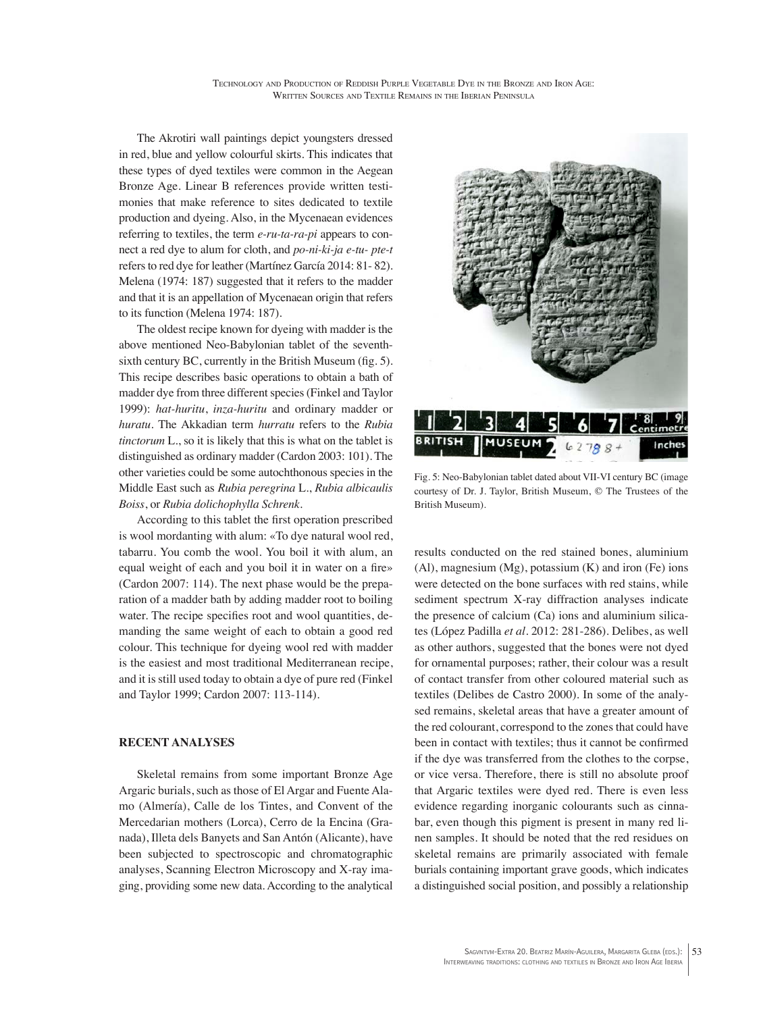The Akrotiri wall paintings depict youngsters dressed in red, blue and yellow colourful skirts. This indicates that these types of dyed textiles were common in the Aegean Bronze Age. Linear B references provide written testimonies that make reference to sites dedicated to textile production and dyeing. Also, in the Mycenaean evidences referring to textiles, the term *e-ru-ta-ra-pi* appears to connect a red dye to alum for cloth, and *po-ni-ki-ja e-tu- pte-t* refers to red dye for leather (Martínez García 2014: 81- 82). Melena (1974: 187) suggested that it refers to the madder and that it is an appellation of Mycenaean origin that refers to its function (Melena 1974: 187).

The oldest recipe known for dyeing with madder is the above mentioned Neo-Babylonian tablet of the seventhsixth century BC, currently in the British Museum (fig. 5). This recipe describes basic operations to obtain a bath of madder dye from three different species (Finkel and Taylor 1999): *hat-huritu*, *inza-huritu* and ordinary madder or *huratu*. The Akkadian term *hurratu* refers to the *Rubia tinctorum* L., so it is likely that this is what on the tablet is distinguished as ordinary madder (Cardon 2003: 101). The other varieties could be some autochthonous species in the Middle East such as *Rubia peregrina* L., *Rubia albicaulis Boiss*, or *Rubia dolichophylla Schrenk*.

According to this tablet the first operation prescribed is wool mordanting with alum: «To dye natural wool red, tabarru. You comb the wool. You boil it with alum, an equal weight of each and you boil it in water on a fire» (Cardon 2007: 114). The next phase would be the preparation of a madder bath by adding madder root to boiling water. The recipe specifies root and wool quantities, demanding the same weight of each to obtain a good red colour. This technique for dyeing wool red with madder is the easiest and most traditional Mediterranean recipe, and it is still used today to obtain a dye of pure red (Finkel and Taylor 1999; Cardon 2007: 113-114).

## **RECENT ANALYSES**

Skeletal remains from some important Bronze Age Argaric burials, such as those of El Argar and Fuente Alamo (Almería), Calle de los Tintes, and Convent of the Mercedarian mothers (Lorca), Cerro de la Encina (Granada), Illeta dels Banyets and San Antón (Alicante), have been subjected to spectroscopic and chromatographic analyses, Scanning Electron Microscopy and X-ray imaging, providing some new data. According to the analytical



Fig. 5: Neo-Babylonian tablet dated about VII-VI century BC (image courtesy of Dr. J. Taylor, British Museum, © The Trustees of the British Museum).

results conducted on the red stained bones, aluminium  $(A)$ , magnesium  $(Mg)$ , potassium  $(K)$  and iron  $(Fe)$  ions were detected on the bone surfaces with red stains, while sediment spectrum X-ray diffraction analyses indicate the presence of calcium (Ca) ions and aluminium silicates (López Padilla *et al*. 2012: 281-286). Delibes, as well as other authors, suggested that the bones were not dyed for ornamental purposes; rather, their colour was a result of contact transfer from other coloured material such as textiles (Delibes de Castro 2000). In some of the analysed remains, skeletal areas that have a greater amount of the red colourant, correspond to the zones that could have been in contact with textiles; thus it cannot be confirmed if the dye was transferred from the clothes to the corpse, or vice versa. Therefore, there is still no absolute proof that Argaric textiles were dyed red. There is even less evidence regarding inorganic colourants such as cinnabar, even though this pigment is present in many red linen samples. It should be noted that the red residues on skeletal remains are primarily associated with female burials containing important grave goods, which indicates a distinguished social position, and possibly a relationship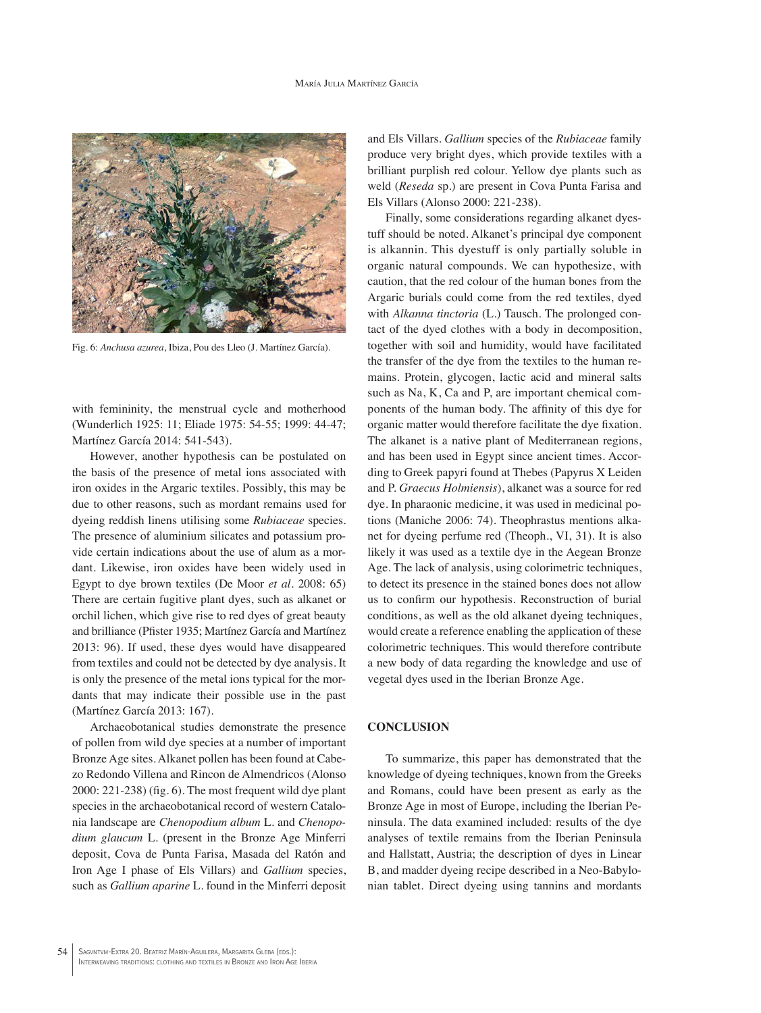#### María Julia Martínez García



Fig. 6: *Anchusa azurea*, Ibiza, Pou des Lleo (J. Martínez García).

with femininity, the menstrual cycle and motherhood (Wunderlich 1925: 11; Eliade 1975: 54-55; 1999: 44-47; Martínez García 2014: 541-543).

However, another hypothesis can be postulated on the basis of the presence of metal ions associated with iron oxides in the Argaric textiles. Possibly, this may be due to other reasons, such as mordant remains used for dyeing reddish linens utilising some *Rubiaceae* species. The presence of aluminium silicates and potassium provide certain indications about the use of alum as a mordant. Likewise, iron oxides have been widely used in Egypt to dye brown textiles (De Moor *et al*. 2008: 65) There are certain fugitive plant dyes, such as alkanet or orchil lichen, which give rise to red dyes of great beauty and brilliance (Pfister 1935; Martínez García and Martínez 2013: 96). If used, these dyes would have disappeared from textiles and could not be detected by dye analysis. It is only the presence of the metal ions typical for the mordants that may indicate their possible use in the past (Martínez García 2013: 167).

Archaeobotanical studies demonstrate the presence of pollen from wild dye species at a number of important Bronze Age sites. Alkanet pollen has been found at Cabezo Redondo Villena and Rincon de Almendricos (Alonso 2000: 221-238) (fig. 6). The most frequent wild dye plant species in the archaeobotanical record of western Catalonia landscape are *Chenopodium album* L. and *Chenopodium glaucum* L. (present in the Bronze Age Minferri deposit, Cova de Punta Farisa, Masada del Ratón and Iron Age I phase of Els Villars) and *Gallium* species, such as *Gallium aparine* L. found in the Minferri deposit and Els Villars. *Gallium* species of the *Rubiaceae* family produce very bright dyes, which provide textiles with a brilliant purplish red colour. Yellow dye plants such as weld (*Reseda* sp.) are present in Cova Punta Farisa and Els Villars (Alonso 2000: 221-238).

Finally, some considerations regarding alkanet dyestuff should be noted. Alkanet's principal dye component is alkannin. This dyestuff is only partially soluble in organic natural compounds. We can hypothesize, with caution, that the red colour of the human bones from the Argaric burials could come from the red textiles, dyed with *Alkanna tinctoria* (L.) Tausch. The prolonged contact of the dyed clothes with a body in decomposition, together with soil and humidity, would have facilitated the transfer of the dye from the textiles to the human remains. Protein, glycogen, lactic acid and mineral salts such as Na, K, Ca and P, are important chemical components of the human body. The affinity of this dye for organic matter would therefore facilitate the dye fixation. The alkanet is a native plant of Mediterranean regions, and has been used in Egypt since ancient times. According to Greek papyri found at Thebes (Papyrus X Leiden and P. *Graecus Holmiensis*), alkanet was a source for red dye. In pharaonic medicine, it was used in medicinal potions (Maniche 2006: 74). Theophrastus mentions alkanet for dyeing perfume red (Theoph., VI, 31). It is also likely it was used as a textile dye in the Aegean Bronze Age. The lack of analysis, using colorimetric techniques, to detect its presence in the stained bones does not allow us to confirm our hypothesis. Reconstruction of burial conditions, as well as the old alkanet dyeing techniques, would create a reference enabling the application of these colorimetric techniques. This would therefore contribute a new body of data regarding the knowledge and use of vegetal dyes used in the Iberian Bronze Age.

### **CONCLUSION**

To summarize, this paper has demonstrated that the knowledge of dyeing techniques, known from the Greeks and Romans, could have been present as early as the Bronze Age in most of Europe, including the Iberian Peninsula. The data examined included: results of the dye analyses of textile remains from the Iberian Peninsula and Hallstatt, Austria; the description of dyes in Linear B, and madder dyeing recipe described in a Neo-Babylonian tablet. Direct dyeing using tannins and mordants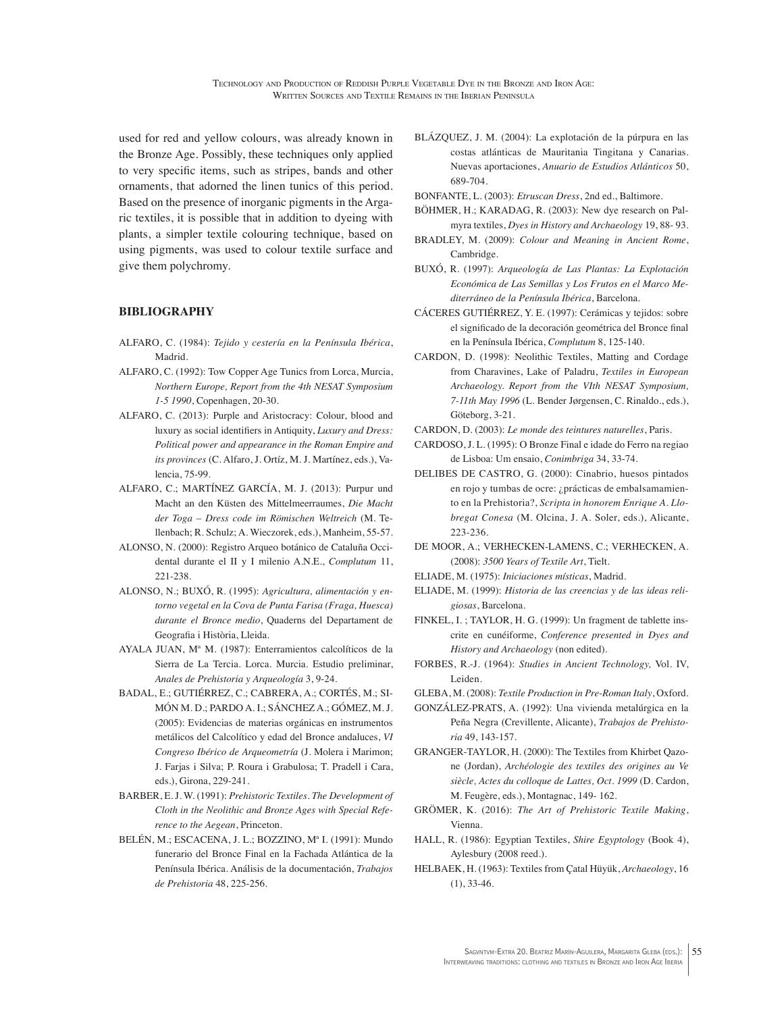used for red and yellow colours, was already known in the Bronze Age. Possibly, these techniques only applied to very specific items, such as stripes, bands and other ornaments, that adorned the linen tunics of this period. Based on the presence of inorganic pigments in the Argaric textiles, it is possible that in addition to dyeing with plants, a simpler textile colouring technique, based on using pigments, was used to colour textile surface and give them polychromy.

## **BIBLIOGRAPHY**

- ALFARO, C. (1984): *Tejido y cestería en la Península Ibérica*, Madrid.
- ALFARO, C. (1992): Tow Copper Age Tunics from Lorca, Murcia, *Northern Europe, Report from the 4th NESAT Symposium 1-5 1990*, Copenhagen, 20-30.
- ALFARO, C. (2013): Purple and Aristocracy: Colour, blood and luxury as social identifiers in Antiquity, *Luxury and Dress: Political power and appearance in the Roman Empire and its provinces* (C. Alfaro, J. Ortíz, M. J. Martínez, eds.), Valencia, 75-99.
- ALFARO, C.; MARTÍNEZ GARCÍA, M. J. (2013): Purpur und Macht an den Küsten des Mittelmeerraumes, *Die Macht der Toga – Dress code im Römischen Weltreich* (M. Tellenbach; R. Schulz; A. Wieczorek, eds.), Manheim, 55-57.
- ALONSO, N. (2000): Registro Arqueo botánico de Cataluña Occidental durante el II y I milenio A.N.E., *Complutum* 11, 221-238.
- ALONSO, N.; BUXÓ, R. (1995): *Agricultura, alimentación y entorno vegetal en la Cova de Punta Farisa (Fraga, Huesca) durante el Bronce medio*, Quaderns del Departament de Geografia i Història, Lleida.
- AYALA JUAN, Mª M. (1987): Enterramientos calcolíticos de la Sierra de La Tercia. Lorca. Murcia. Estudio preliminar, *Anales de Prehistoria y Arqueología* 3, 9-24.
- BADAL, E.; GUTIÉRREZ, C.; CABRERA, A.; CORTÉS, M.; SI-MÓN M. D.; PARDO A. I.; SÁNCHEZ A.; GÓMEZ, M. J. (2005): Evidencias de materias orgánicas en instrumentos metálicos del Calcolítico y edad del Bronce andaluces, *VI Congreso Ibérico de Arqueometría* (J. Molera i Marimon; J. Farjas i Silva; P. Roura i Grabulosa; T. Pradell i Cara, eds.), Girona, 229-241.
- BARBER, E. J. W. (1991): *Prehistoric Textiles. The Development of Cloth in the Neolithic and Bronze Ages with Special Reference to the Aegean*, Princeton.
- BELÉN, M.; ESCACENA, J. L.; BOZZINO, Mª I. (1991): Mundo funerario del Bronce Final en la Fachada Atlántica de la Península Ibérica. Análisis de la documentación, *Trabajos de Prehistoria* 48, 225-256.
- BLÁZQUEZ, J. M. (2004): La explotación de la púrpura en las costas atlánticas de Mauritania Tingitana y Canarias. Nuevas aportaciones, *Anuario de Estudios Atlánticos* 50, 689-704.
- BONFANTE, L. (2003): *Etruscan Dress*, 2nd ed., Baltimore.
- BÖHMER, H.; KARADAG, R. (2003): New dye research on Palmyra textiles, *Dyes in History and Archaeology* 19, 88- 93.
- BRADLEY, M. (2009): *Colour and Meaning in Ancient Rome*, Cambridge.
- BUXÓ, R. (1997): *Arqueología de Las Plantas: La Explotación Económica de Las Semillas y Los Frutos en el Marco Mediterráneo de la Península Ibérica*, Barcelona.
- CÁCERES GUTIÉRREZ, Y. E. (1997): Cerámicas y tejidos: sobre el significado de la decoración geométrica del Bronce final en la Península Ibérica, *Complutum* 8, 125-140.
- CARDON, D. (1998): Neolithic Textiles, Matting and Cordage from Charavines, Lake of Paladru, *Textiles in European Archaeology. Report from the VIth NESAT Symposium, 7-11th May 1996* (L. Bender Jørgensen, C. Rinaldo., eds.), Göteborg, 3-21.
- CARDON, D. (2003): *Le monde des teintures naturelles*, Paris.
- CARDOSO, J. L. (1995): O Bronze Final e idade do Ferro na regiao de Lisboa: Um ensaio, *Conimbriga* 34, 33-74.
- DELIBES DE CASTRO, G. (2000): Cinabrio, huesos pintados en rojo y tumbas de ocre: ¿prácticas de embalsamamiento en la Prehistoria?, *Scripta in honorem Enrique A. Llobregat Conesa* (M. Olcina, J. A. Soler, eds.), Alicante, 223-236.
- DE MOOR, A.; VERHECKEN-LAMENS, C.; VERHECKEN, A. (2008): *3500 Years of Textile Art*, Tielt.
- ELIADE, M. (1975): *Iniciaciones místicas*, Madrid.
- ELIADE, M. (1999): *Historia de las creencias y de las ideas religiosas*, Barcelona.
- FINKEL, I. ; TAYLOR, H. G. (1999): Un fragment de tablette inscrite en cunéiforme, *Conference presented in Dyes and History and Archaeology* (non edited).
- FORBES, R.-J. (1964): *Studies in Ancient Technology,* Vol. IV, Leiden.
- GLEBA, M. (2008): *Textile Production in Pre-Roman Italy*, Oxford.
- GONZÁLEZ-PRATS, A. (1992): Una vivienda metalúrgica en la Peña Negra (Crevillente, Alicante), *Trabajos de Prehistoria* 49, 143-157.
- GRANGER-TAYLOR, H. (2000): The Textiles from Khirbet Qazone (Jordan), *Archéologie des textiles des origines au Ve siècle, Actes du colloque de Lattes, Oct. 1999* (D. Cardon, M. Feugère, eds.), Montagnac, 149- 162.
- GRÖMER, K. (2016): *The Art of Prehistoric Textile Making*, Vienna.
- HALL, R. (1986): Egyptian Textiles, *Shire Egyptology* (Book 4), Aylesbury (2008 reed.).
- HELBAEK, H. (1963): Textiles from Çatal Hüyük, *Archaeology*, 16  $(1), 33-46.$